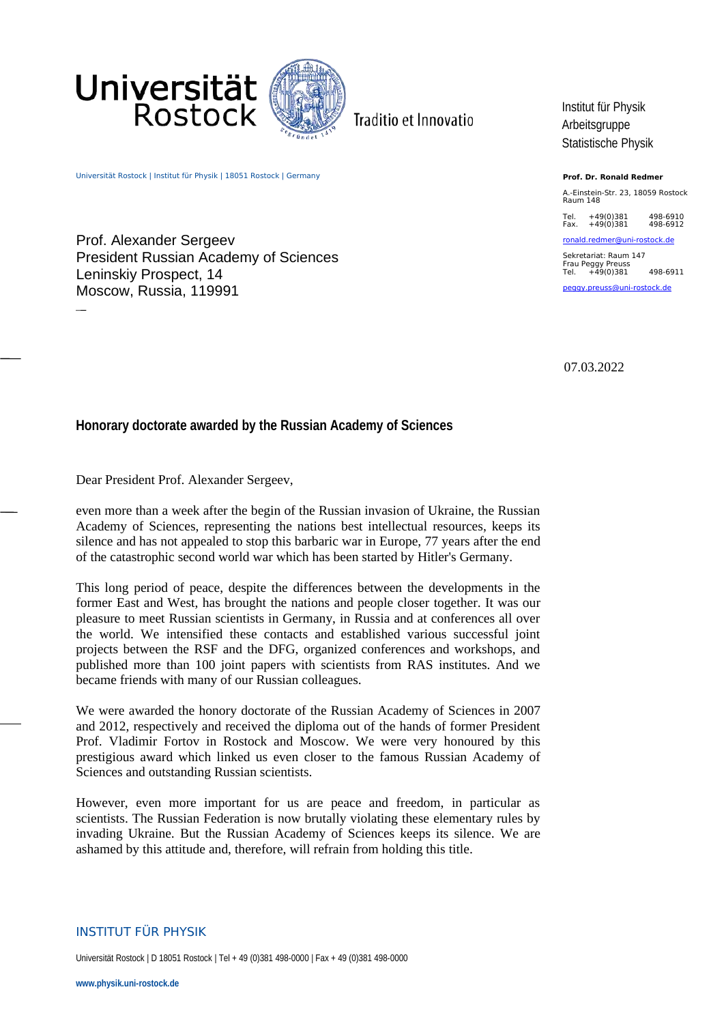

Traditio et Innovatio

Universität Rostock | Institut für Physik | 18051 Rostock | Germany

Rostock

Universität

Prof. Alexander Sergeev President Russian Academy of Sciences Leninskiy Prospect, 14 Moscow, Russia, 119991

Institut für Physik Arbeitsgruppe Statistische Physik

**Prof. Dr. Ronald Redmer**

A.-Einstein-Str. 23, 18059 Rostock Raum 148

Tel. +49(0)381 498-6910 Fax. +49(0)381 498-6912

[ronald.redmer@uni-rostock.de](mailto:ronald.redmer@uni-rostock.de)

Sekretariat: Raum 147 Frau Peggy Preuss Tel. +49(0)381 498-6911 pegg[y. preuss @uni-rostock.de](mailto:waltraud.dulinski@uni-rostock.de)

07.03.2022

## **Honorary doctorate awarded by the Russian Academy of Sciences**

Dear President Prof. Alexander Sergeev,

even more than a week after the begin of the Russian invasion of Ukraine, the Russian Academy of Sciences, representing the nations best intellectual resources, keeps its silence and has not appealed to stop this barbaric war in Europe, 77 years after the end of the catastrophic second world war which has been started by Hitler's Germany.

This long period of peace, despite the differences between the developments in the former East and West, has brought the nations and people closer together. It was our pleasure to meet Russian scientists in Germany, in Russia and at conferences all over the world. We intensified these contacts and established various successful joint projects between the RSF and the DFG, organized conferences and workshops, and published more than 100 joint papers with scientists from RAS institutes. And we became friends with many of our Russian colleagues.

We were awarded the honory doctorate of the Russian Academy of Sciences in 2007 and 2012, respectively and received the diploma out of the hands of former President Prof. Vladimir Fortov in Rostock and Moscow. We were very honoured by this prestigious award which linked us even closer to the famous Russian Academy of Sciences and outstanding Russian scientists.

However, even more important for us are peace and freedom, in particular as scientists. The Russian Federation is now brutally violating these elementary rules by invading Ukraine. But the Russian Academy of Sciences keeps its silence. We are ashamed by this attitude and, therefore, will refrain from holding this title.

## INSTITUT FÜR PHYSIK

Universität Rostock | D 18051 Rostock | Tel + 49 (0)381 498-0000 | Fax + 49 (0)381 498-0000